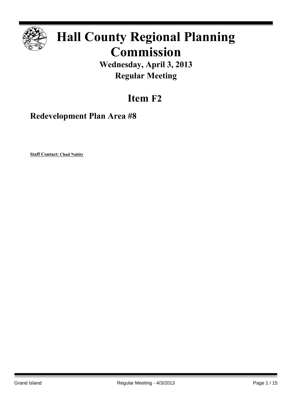

# **Hall County Regional Planning Commission**

**Wednesday, April 3, 2013 Regular Meeting**

# **Item F2**

**Redevelopment Plan Area #8**

**Staff Contact: Chad Nabity**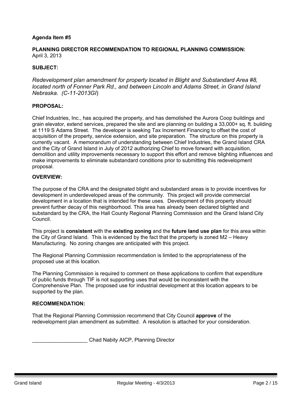#### **Agenda Item #5**

#### **PLANNING DIRECTOR RECOMMENDATION TO REGIONAL PLANNING COMMISSION:** April 3, 2013

#### **SUBJECT:**

*Redevelopment plan amendment for property located in Blight and Substandard Area #8, located north of Fonner Park Rd., and between Lincoln and Adams Street, in Grand Island Nebraska. (C-11-2013GI*)

#### **PROPOSAL:**

Chief Industries, Inc., has acquired the property, and has demolished the Aurora Coop buildings and grain elevator, extend services, prepared the site and are planning on building a 33,000+ sq. ft. building at 1119 S Adams Street. The developer is seeking Tax Increment Financing to offset the cost of acquisition of the property, service extension, and site preparation. The structure on this property is currently vacant. A memorandum of understanding between Chief Industries, the Grand Island CRA and the City of Grand Island in July of 2012 authorizing Chief to move forward with acquisition, demolition and utility improvements necessary to support this effort and remove blighting influences and make improvements to eliminate substandard conditions prior to submitting this redevelopment proposal.

#### **OVERVIEW:**

The purpose of the CRA and the designated blight and substandard areas is to provide incentives for development in underdeveloped areas of the community. This project will provide commercial development in a location that is intended for these uses. Development of this property should prevent further decay of this neighborhood. This area has already been declared blighted and substandard by the CRA, the Hall County Regional Planning Commission and the Grand Island City Council.

This project is **consistent** with the **existing zoning** and the **future land use plan** for this area within the City of Grand Island. This is evidenced by the fact that the property is zoned M2 – Heavy Manufacturing. No zoning changes are anticipated with this project.

The Regional Planning Commission recommendation is limited to the appropriateness of the proposed use at this location.

The Planning Commission is required to comment on these applications to confirm that expenditure of public funds through TIF is not supporting uses that would be inconsistent with the Comprehensive Plan. The proposed use for industrial development at this location appears to be supported by the plan.

#### **RECOMMENDATION:**

That the Regional Planning Commission recommend that City Council **approve** of the redevelopment plan amendment as submitted. A resolution is attached for your consideration.

\_\_\_\_\_\_\_\_\_\_\_\_\_\_\_\_\_\_\_ Chad Nabity AICP, Planning Director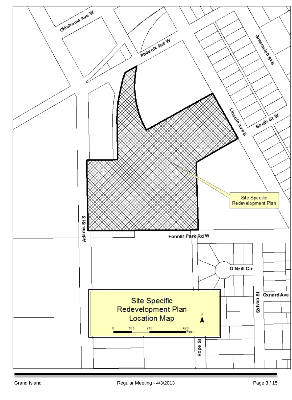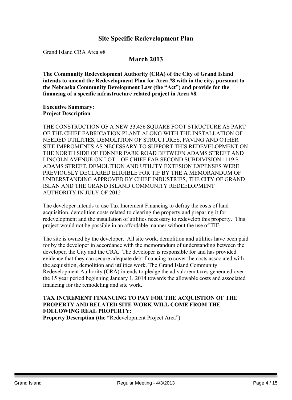# **Site Specific Redevelopment Plan**

Grand Island CRA Area #8

# **March 2013**

**The Community Redevelopment Authority (CRA) of the City of Grand Island intends to amend the Redevelopment Plan for Area #8 with in the city, pursuant to the Nebraska Community Development Law (the "Act") and provide for the financing of a specific infrastructure related project in Area #8.**

**Executive Summary: Project Description**

THE CONSTRUCTION OF A NEW 33,456 SQUARE FOOT STRUCTURE AS PART OF THE CHIEF FABRICATION PLANT ALONG WITH THE INSTALLATION OF NEEDED UTILITIES, DEMOLITION OF STRUCTURES, PAVING AND OTHER SITE IMPROMENTS AS NECESSARY TO SUPPORT THIS REDEVELOPMENT ON THE NORTH SIDE OF FONNER PARK ROAD BETWEEN ADAMS STREET AND LINCOLN AVENUE ON LOT 1 OF CHIEF FAB SECOND SUBDIVISION 1119 S ADAMS STREET. DEMOLITION AND UTILITY EXTESION EXPENSES WERE PREVIOUSLY DECLARED ELIGIBLE FOR TIF BY THE A MEMORANDUM OF UNDERSTANDING APPROVED BY CHIEF INDUSTRIES, THE CITY OF GRAND ISLAN AND THE GRAND ISLAND COMMUNITY REDEELOPMENT AUTHORITY IN JULY OF 2012

The developer intends to use Tax Increment Financing to defray the costs of land acquisition, demolition costs related to clearing the property and preparing it for redevelopment and the installation of utilities necessary to redevelop this property. This project would not be possible in an affordable manner without the use of TIF.

The site is owned by the developer. All site work, demolition and utilities have been paid for by the developer in accordance with the memorandum of understanding between the developer, the City and the CRA. The developer is responsible for and has provided evidence that they can secure adequate debt financing to cover the costs associated with the acquisition, demolition and utilities work. The Grand Island Community Redevelopment Authority (CRA) intends to pledge the ad valorem taxes generated over the 15 year period beginning January 1, 2014 towards the allowable costs and associated financing for the remodeling and site work.

# **TAX INCREMENT FINANCING TO PAY FOR THE ACQUISTION OF THE PROPERTY AND RELATED SITE WORK WILL COME FROM THE FOLLOWING REAL PROPERTY:**

**Property Description (the "**Redevelopment Project Area")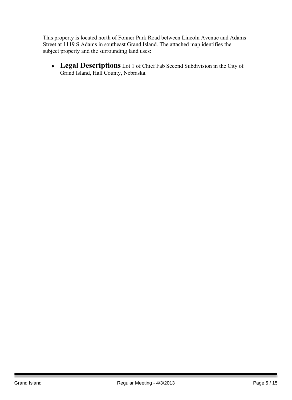This property is located north of Fonner Park Road between Lincoln Avenue and Adams Street at 1119 S Adams in southeast Grand Island. The attached map identifies the subject property and the surrounding land uses:

 **Legal Descriptions** Lot 1 of Chief Fab Second Subdivision in the City of Grand Island, Hall County, Nebraska.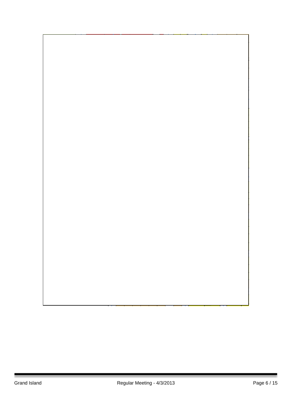**Hedder St Windows St Windows St Windows St Windows St Windows St Windows St Windows St Windows St Windows St** 

**Greenwich St S**

**South St W**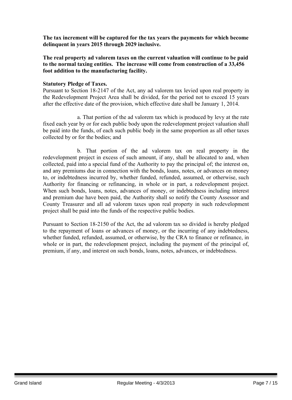**The tax increment will be captured for the tax years the payments for which become delinquent in years 2015 through 2029 inclusive.**

**The real property ad valorem taxes on the current valuation will continue to be paid to the normal taxing entities. The increase will come from construction of a 33,456 foot addition to the manufacturing facility.** 

#### **Statutory Pledge of Taxes.**

Pursuant to Section 18-2147 of the Act, any ad valorem tax levied upon real property in the Redevelopment Project Area shall be divided, for the period not to exceed 15 years after the effective date of the provision, which effective date shall be January 1, 2014.

a. That portion of the ad valorem tax which is produced by levy at the rate fixed each year by or for each public body upon the redevelopment project valuation shall be paid into the funds, of each such public body in the same proportion as all other taxes collected by or for the bodies; and

b. That portion of the ad valorem tax on real property in the redevelopment project in excess of such amount, if any, shall be allocated to and, when collected, paid into a special fund of the Authority to pay the principal of; the interest on, and any premiums due in connection with the bonds, loans, notes, or advances on money to, or indebtedness incurred by, whether funded, refunded, assumed, or otherwise, such Authority for financing or refinancing, in whole or in part, a redevelopment project. When such bonds, loans, notes, advances of money, or indebtedness including interest and premium due have been paid, the Authority shall so notify the County Assessor and County Treasurer and all ad valorem taxes upon real property in such redevelopment project shall be paid into the funds of the respective public bodies.

Pursuant to Section 18-2150 of the Act, the ad valorem tax so divided is hereby pledged to the repayment of loans or advances of money, or the incurring of any indebtedness, whether funded, refunded, assumed, or otherwise, by the CRA to finance or refinance, in whole or in part, the redevelopment project, including the payment of the principal of, premium, if any, and interest on such bonds, loans, notes, advances, or indebtedness.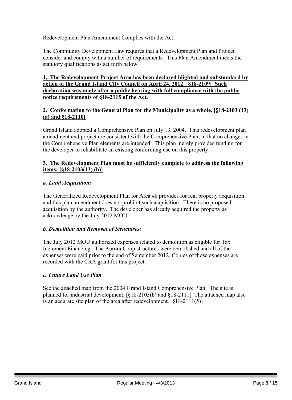Redevelopment Plan Amendment Complies with the Act:

The Community Development Law requires that a Redevelopment Plan and Project consider and comply with a number of requirements. This Plan Amendment meets the statutory qualifications as set forth below.

### **1. The Redevelopment Project Area has been declared blighted and substandard by action of the Grand Island City Council on April 24, 2012. [§18-2109] Such declaration was made after a public hearing with full compliance with the public notice requirements of §18-2115 of the Act.**

#### **2. Conformation to the General Plan for the Municipality as a whole. [§18-2103 (13) (a) and §18-2110]**

Grand Island adopted a Comprehensive Plan on July 13, 2004. This redevelopment plan amendment and project are consistent with the Comprehensive Plan, in that no changes in the Comprehensive Plan elements are intended. This plan merely provides funding for the developer to rehabilitate an existing conforming use on this property.

## **3. The Redevelopment Plan must be sufficiently complete to address the following items: [§18-2103(13) (b)]**

## *a. Land Acquisition:*

The Generalized Redevelopment Plan for Area #8 provides for real property acquisition and this plan amendment does not prohibit such acquisition. There is no proposed acquisition by the authority. The developer has already acquired the property as acknowledge by the July 2012 MOU.

## *b. Demolition and Removal of Structures:*

The July 2012 MOU authorized expenses related to demolition as eligible for Tax Increment Financing. The Aurora Coop structures were demolished and all of the expenses were paid prior to the end of September 2012. Copies of those expenses are recorded with the CRA grant for this project.

## *c. Future Land Use Plan*

See the attached map from the 2004 Grand Island Comprehensive Plan. The site is planned for industrial development. [§18-2103(b) and §18-2111] The attached map also is an accurate site plan of the area after redevelopment. [§18-2111(5)]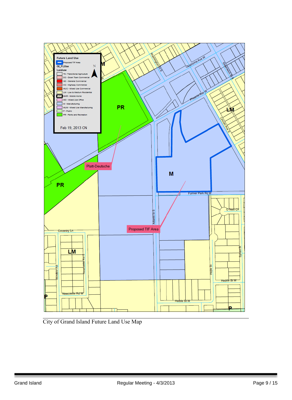

City of Grand Island Future Land Use Map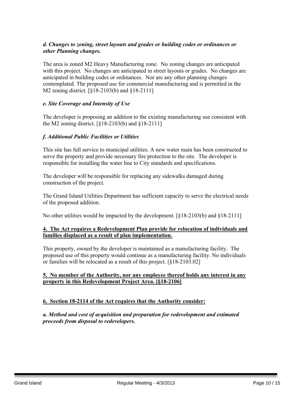# *d. Changes to zoning, street layouts and grades or building codes or ordinances or other Planning changes.*

The area is zoned M2 Heavy Manufacturing zone. No zoning changes are anticipated with this project. No changes are anticipated in street layouts or grades. No changes are anticipated in building codes or ordinances. Nor are any other planning changes contemplated. The proposed use for commercial manufacturing and is permitted in the M2 zoning district. [§18-2103(b) and §18-2111]

## *e. Site Coverage and Intensity of Use*

The developer is proposing an addition to the existing manufacturing use consistent with the M2 zoning district. [§18-2103(b) and §18-2111]

## *f. Additional Public Facilities or Utilities*

This site has full service to municipal utilities. A new water main has been constructed to serve the property and provide necessary fire protection to the site. The developer is responsible for installing the water line to City standards and specifications.

The developer will be responsible for replacing any sidewalks damaged during construction of the project.

The Grand Island Utilities Department has sufficient capacity to serve the electrical needs of the proposed addition.

No other utilities would be impacted by the development. [§18-2103(b) and §18-2111]

#### **4. The Act requires a Redevelopment Plan provide for relocation of individuals and families displaced as a result of plan implementation.**

This property, owned by the developer is maintained as a manufacturing facility. The proposed use of this property would continue as a manufacturing facility. No individuals or families will be relocated as a result of this project. [§18-2103.02]

#### **5. No member of the Authority, nor any employee thereof holds any interest in any property in this Redevelopment Project Area. [§18-2106]**

## **6. Section 18-2114 of the Act requires that the Authority consider:**

*a. Method and cost of acquisition and preparation for redevelopment and estimated proceeds from disposal to redevelopers.*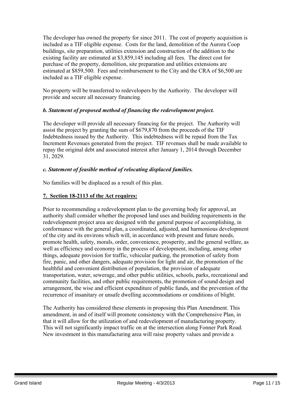The developer has owned the property for since 2011. The cost of property acquisition is included as a TIF eligible expense. Costs for the land, demolition of the Aurora Coop buildings, site preparation, utilities extension and construction of the addition to the existing facility are estimated at \$3,859,145 including all fees. The direct cost for purchase of the property, demolition, site preparation and utilities extensions are estimated at \$859,500. Fees and reimbursement to the City and the CRA of \$6,500 are included as a TIF eligible expense.

No property will be transferred to redevelopers by the Authority. The developer will provide and secure all necessary financing.

## *b. Statement of proposed method of financing the redevelopment project.*

The developer will provide all necessary financing for the project. The Authority will assist the project by granting the sum of \$679,870 from the proceeds of the TIF Indebtedness issued by the Authority. This indebtedness will be repaid from the Tax Increment Revenues generated from the project. TIF revenues shall be made available to repay the original debt and associated interest after January 1, 2014 through December 31, 2029.

# *c. Statement of feasible method of relocating displaced families.*

No families will be displaced as a result of this plan.

# **7. Section 18-2113 of the Act requires:**

Prior to recommending a redevelopment plan to the governing body for approval, an authority shall consider whether the proposed land uses and building requirements in the redevelopment project area are designed with the general purpose of accomplishing, in conformance with the general plan, a coordinated, adjusted, and harmonious development of the city and its environs which will, in accordance with present and future needs, promote health, safety, morals, order, convenience, prosperity, and the general welfare, as well as efficiency and economy in the process of development, including, among other things, adequate provision for traffic, vehicular parking, the promotion of safety from fire, panic, and other dangers, adequate provision for light and air, the promotion of the healthful and convenient distribution of population, the provision of adequate transportation, water, sewerage, and other public utilities, schools, parks, recreational and community facilities, and other public requirements, the promotion of sound design and arrangement, the wise and efficient expenditure of public funds, and the prevention of the recurrence of insanitary or unsafe dwelling accommodations or conditions of blight.

The Authority has considered these elements in proposing this Plan Amendment. This amendment, in and of itself will promote consistency with the Comprehensive Plan, in that it will allow for the utilization of and redevelopment of manufacturing property. This will not significantly impact traffic on at the intersection along Fonner Park Road. New investment in this manufacturing area will raise property values and provide a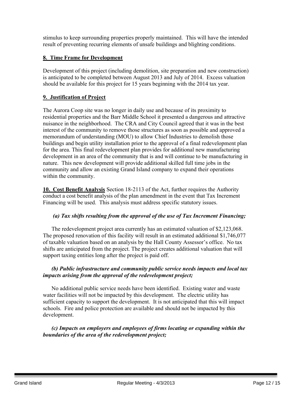stimulus to keep surrounding properties properly maintained. This will have the intended result of preventing recurring elements of unsafe buildings and blighting conditions.

# **8. Time Frame for Development**

Development of this project (including demolition, site preparation and new construction) is anticipated to be completed between August 2013 and July of 2014. Excess valuation should be available for this project for 15 years beginning with the 2014 tax year.

## **9. Justification of Project**

The Aurora Coop site was no longer in daily use and because of its proximity to residential properties and the Barr Middle School it presented a dangerous and attractive nuisance in the neighborhood. The CRA and City Council agreed that it was in the best interest of the community to remove those structures as soon as possible and approved a memorandum of understanding (MOU) to allow Chief Industries to demolish those buildings and begin utility installation prior to the approval of a final redevelopment plan for the area. This final redevelopment plan provides for additional new manufacturing development in an area of the community that is and will continue to be manufacturing in nature. This new development will provide additional skilled full time jobs in the community and allow an existing Grand Island company to expand their operations within the community.

**10. Cost Benefit Analysis** Section 18-2113 of the Act, further requires the Authority conduct a cost benefit analysis of the plan amendment in the event that Tax Increment Financing will be used. This analysis must address specific statutory issues.

## *(a) Tax shifts resulting from the approval of the use of Tax Increment Financing;*

The redevelopment project area currently has an estimated valuation of \$2,123,068. The proposed renovation of this facility will result in an estimated additional \$1,746,077 of taxable valuation based on an analysis by the Hall County Assessor's office. No tax shifts are anticipated from the project. The project creates additional valuation that will support taxing entities long after the project is paid off.

## *(b) Public infrastructure and community public service needs impacts and local tax impacts arising from the approval of the redevelopment project;*

No additional public service needs have been identified. Existing water and waste water facilities will not be impacted by this development. The electric utility has sufficient capacity to support the development. It is not anticipated that this will impact schools. Fire and police protection are available and should not be impacted by this development.

*(c) Impacts on employers and employees of firms locating or expanding within the boundaries of the area of the redevelopment project;*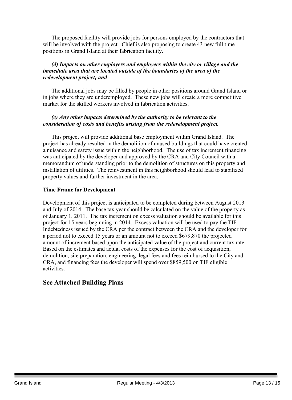The proposed facility will provide jobs for persons employed by the contractors that will be involved with the project. Chief is also proposing to create 43 new full time positions in Grand Island at their fabrication facility.

### *(d) Impacts on other employers and employees within the city or village and the immediate area that are located outside of the boundaries of the area of the redevelopment project; and*

The additional jobs may be filled by people in other positions around Grand Island or in jobs where they are underemployed. These new jobs will create a more competitive market for the skilled workers involved in fabrication activities.

#### *(e) Any other impacts determined by the authority to be relevant to the consideration of costs and benefits arising from the redevelopment project.*

This project will provide additional base employment within Grand Island. The project has already resulted in the demolition of unused buildings that could have created a nuisance and safety issue within the neighborhood. The use of tax increment financing was anticipated by the developer and approved by the CRA and City Council with a memorandum of understanding prior to the demolition of structures on this property and installation of utilities. The reinvestment in this neighborhood should lead to stabilized property values and further investment in the area.

## **Time Frame for Development**

Development of this project is anticipated to be completed during between August 2013 and July of 2014.The base tax year should be calculated on the value of the property as of January 1, 2011. The tax increment on excess valuation should be available for this project for 15 years beginning in 2014. Excess valuation will be used to pay the TIF Indebtedness issued by the CRA per the contract between the CRA and the developer for a period not to exceed 15 years or an amount not to exceed \$679,870 the projected amount of increment based upon the anticipated value of the project and current tax rate. Based on the estimates and actual costs of the expenses for the cost of acquisition, demolition, site preparation, engineering, legal fees and fees reimbursed to the City and CRA, and financing fees the developer will spend over \$859,500 on TIF eligible activities.

# **See Attached Building Plans**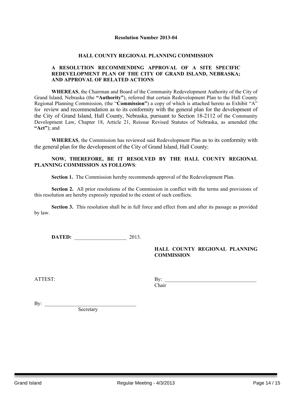#### **Resolution Number 2013-04**

#### **HALL COUNTY REGIONAL PLANNING COMMISSION**

#### **A RESOLUTION RECOMMENDING APPROVAL OF A SITE SPECIFIC REDEVELOPMENT PLAN OF THE CITY OF GRAND ISLAND, NEBRASKA; AND APPROVAL OF RELATED ACTIONS**

**WHEREAS**, the Chairman and Board of the Community Redevelopment Authority of the City of Grand Island, Nebraska (the **"Authority"**), referred that certain Redevelopment Plan to the Hall County Regional Planning Commission, (the "**Commission"**) a copy of which is attached hereto as Exhibit "A" for review and recommendation as to its conformity with the general plan for the development of the City of Grand Island, Hall County, Nebraska, pursuant to Section 18-2112 of the Community Development Law, Chapter 18, Article 21, Reissue Revised Statutes of Nebraska, as amended (the **"Act"**); and

**WHEREAS**, the Commission has reviewed said Redevelopment Plan as to its conformity with the general plan for the development of the City of Grand Island, Hall County;

#### **NOW, THEREFORE, BE IT RESOLVED BY THE HALL COUNTY REGIONAL PLANNING COMMISSION AS FOLLOWS**:

**Section 1.** The Commission hereby recommends approval of the Redevelopment Plan.

**Section 2.** All prior resolutions of the Commission in conflict with the terms and provisions of this resolution are hereby expressly repealed to the extent of such conflicts.

**Section 3.** This resolution shall be in full force and effect from and after its passage as provided by law.

**DATED:** 2013.

#### **HALL COUNTY REGIONAL PLANNING COMMISSION**

| $\sim$ $-$<br>Δ<br>$\sim$ 2 $\sim$<br>ີ | .<br>. .    |
|-----------------------------------------|-------------|
|                                         | ~·<br>hair! |

By:  $\frac{\text{c}}{\text{c}}$ **Secretary**